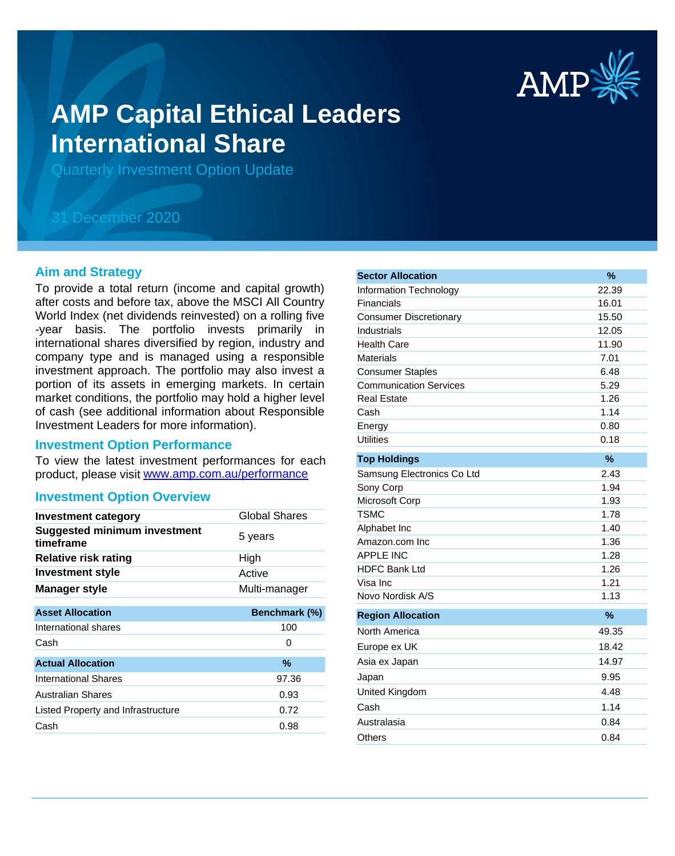

# **AMP Capital Ethical Leaders International Share**

Quarterly Investment Option Update

# 31 December 2020

#### **Aim and Strategy**

To provide a total return (income and capital growth) after costs and before tax, above the MSCI All Country World Index (net dividends reinvested) on a rolling five -year basis. The portfolio invests primarily in international shares diversified by region, industry and company type and is managed using a responsible investment approach. The portfolio may also invest a portion of its assets in emerging markets. In certain market conditions, the portfolio may hold a higher level of cash (see additional information about Responsible Investment Leaders for more information).

#### **Investment Option Performance**

product, please visit www.amp.com.au/performance To view the latest investment performances for each

#### **Investment Option Overview**

| <b>Investment category</b>                       | Global Shares |
|--------------------------------------------------|---------------|
| <b>Suggested minimum investment</b><br>timeframe | 5 years       |
| <b>Relative risk rating</b>                      | High          |
| <b>Investment style</b>                          | Active        |
| <b>Manager style</b>                             | Multi-manager |
| <b>Asset Allocation</b>                          | Benchmark (%) |
| International shares                             | 100           |
| Cash                                             | O             |
| <b>Actual Allocation</b>                         | %             |
| International Shares                             | 97.36         |
| <b>Australian Shares</b>                         | 0.93          |
| Listed Property and Infrastructure               | 0.72          |
| Cash                                             | 0.98          |

| <b>Sector Allocation</b>      | %     |
|-------------------------------|-------|
| <b>Information Technology</b> | 22.39 |
| Financials                    | 16.01 |
| <b>Consumer Discretionary</b> | 15.50 |
| Industrials                   | 12.05 |
| <b>Health Care</b>            | 11.90 |
| <b>Materials</b>              | 7.01  |
| <b>Consumer Staples</b>       | 6.48  |
| <b>Communication Services</b> | 5.29  |
| <b>Real Estate</b>            | 1.26  |
| Cash                          | 1.14  |
| Energy                        | 0.80  |
| <b>Utilities</b>              | 0.18  |
| <b>Top Holdings</b>           | $\%$  |
| Samsung Electronics Co Ltd    | 2.43  |
| Sony Corp                     | 1.94  |
| Microsoft Corp                | 1.93  |
| <b>TSMC</b>                   | 1.78  |
| Alphabet Inc                  | 1.40  |
| Amazon.com Inc                | 1.36  |
| <b>APPLE INC</b>              | 1.28  |
| <b>HDFC Bank Ltd</b>          | 1.26  |
| Visa Inc                      | 1.21  |
| Novo Nordisk A/S              | 1.13  |
| <b>Region Allocation</b>      | $\%$  |
| North America                 | 49.35 |
| Europe ex UK                  | 18.42 |
| Asia ex Japan                 | 14.97 |
| Japan                         | 9.95  |
| United Kingdom                | 4.48  |
| Cash                          | 1.14  |
| Australasia                   | 0.84  |
| <b>Others</b>                 | 0.84  |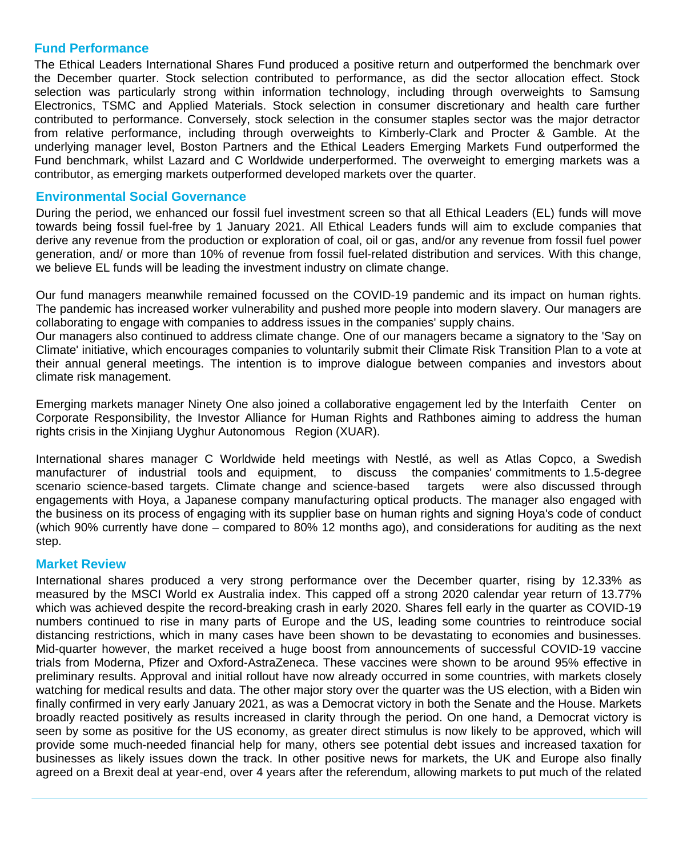## **Fund Performance**

The Ethical Leaders International Shares Fund produced a positive return and outperformed the benchmark over the December quarter. Stock selection contributed to performance, as did the sector allocation effect. Stock selection was particularly strong within information technology, including through overweights to Samsung Electronics, TSMC and Applied Materials. Stock selection in consumer discretionary and health care further contributed to performance. Conversely, stock selection in the consumer staples sector was the major detractor from relative performance, including through overweights to Kimberly-Clark and Procter & Gamble. At the underlying manager level, Boston Partners and the Ethical Leaders Emerging Markets Fund outperformed the Fund benchmark, whilst Lazard and C Worldwide underperformed. The overweight to emerging markets was a contributor, as emerging markets outperformed developed markets over the quarter.

# **Environmental Social Governance**

During the period, we enhanced our fossil fuel investment screen so that all Ethical Leaders (EL) funds will move towards being fossil fuel-free by 1 January 2021. All Ethical Leaders funds will aim to exclude companies that derive any revenue from the production or exploration of coal, oil or gas, and/or any revenue from fossil fuel power generation, and/ or more than 10% of revenue from fossil fuel-related distribution and services. With this change, we believe EL funds will be leading the investment industry on climate change.

Our fund managers meanwhile remained focussed on the COVID-19 pandemic and its impact on human rights. The pandemic has increased worker vulnerability and pushed more people into modern slavery. Our managers are collaborating to engage with companies to address issues in the companies' supply chains.

Our managers also continued to address climate change. One of our managers became a signatory to the 'Say on Climate' initiative, which encourages companies to voluntarily submit their Climate Risk Transition Plan to a vote at their annual general meetings. The intention is to improve dialogue between companies and investors about climate risk management.

Emerging markets manager Ninety One also joined a collaborative engagement led by the Interfaith Center on Corporate Responsibility, the Investor Alliance for Human Rights and Rathbones aiming to address the human rights crisis in the Xinjiang Uyghur Autonomous Region (XUAR).

International shares manager C Worldwide held meetings with Nestlé, as well as Atlas Copco, a Swedish manufacturer of industrial tools and equipment, to discuss the companies' commitments to 1.5-degree scenario science-based targets. Climate change and science-based targets were also discussed through engagements with Hoya, a Japanese company manufacturing optical products. The manager also engaged with the business on its process of engaging with its supplier base on human rights and signing Hoya's code of conduct (which 90% currently have done – compared to 80% 12 months ago), and considerations for auditing as the next step.

#### **Market Review**

International shares produced a very strong performance over the December quarter, rising by 12.33% as measured by the MSCI World ex Australia index. This capped off a strong 2020 calendar year return of 13.77% which was achieved despite the record-breaking crash in early 2020. Shares fell early in the quarter as COVID-19 numbers continued to rise in many parts of Europe and the US, leading some countries to reintroduce social distancing restrictions, which in many cases have been shown to be devastating to economies and businesses. Mid-quarter however, the market received a huge boost from announcements of successful COVID-19 vaccine trials from Moderna, Pfizer and Oxford-AstraZeneca. These vaccines were shown to be around 95% effective in preliminary results. Approval and initial rollout have now already occurred in some countries, with markets closely watching for medical results and data. The other major story over the quarter was the US election, with a Biden win finally confirmed in very early January 2021, as was a Democrat victory in both the Senate and the House. Markets broadly reacted positively as results increased in clarity through the period. On one hand, a Democrat victory is seen by some as positive for the US economy, as greater direct stimulus is now likely to be approved, which will provide some much-needed financial help for many, others see potential debt issues and increased taxation for businesses as likely issues down the track. In other positive news for markets, the UK and Europe also finally agreed on a Brexit deal at year-end, over 4 years after the referendum, allowing markets to put much of the related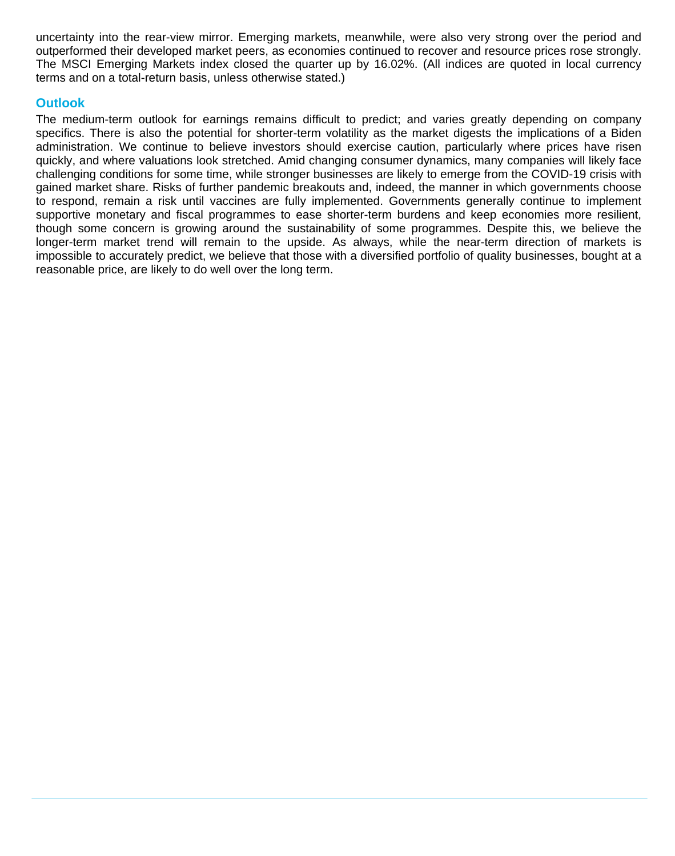uncertainty into the rear-view mirror. Emerging markets, meanwhile, were also very strong over the period and outperformed their developed market peers, as economies continued to recover and resource prices rose strongly. The MSCI Emerging Markets index closed the quarter up by 16.02%. (All indices are quoted in local currency terms and on a total-return basis, unless otherwise stated.)

# **Outlook**

The medium-term outlook for earnings remains difficult to predict; and varies greatly depending on company specifics. There is also the potential for shorter-term volatility as the market digests the implications of a Biden administration. We continue to believe investors should exercise caution, particularly where prices have risen quickly, and where valuations look stretched. Amid changing consumer dynamics, many companies will likely face challenging conditions for some time, while stronger businesses are likely to emerge from the COVID-19 crisis with gained market share. Risks of further pandemic breakouts and, indeed, the manner in which governments choose to respond, remain a risk until vaccines are fully implemented. Governments generally continue to implement supportive monetary and fiscal programmes to ease shorter-term burdens and keep economies more resilient, though some concern is growing around the sustainability of some programmes. Despite this, we believe the longer-term market trend will remain to the upside. As always, while the near-term direction of markets is impossible to accurately predict, we believe that those with a diversified portfolio of quality businesses, bought at a reasonable price, are likely to do well over the long term.